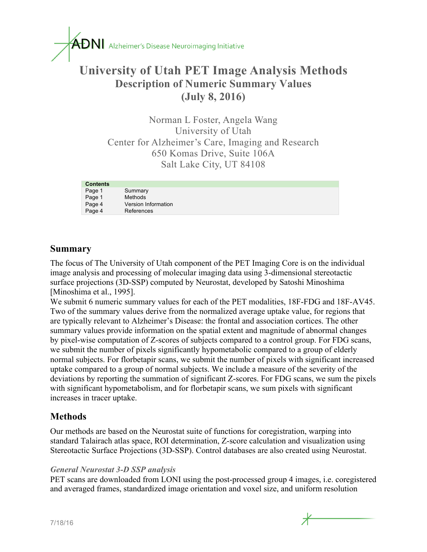

# **University of Utah PET Image Analysis Methods Description of Numeric Summary Values (July 8, 2016)**

Norman L Foster, Angela Wang University of Utah Center for Alzheimer's Care, Imaging and Research 650 Komas Drive, Suite 106A Salt Lake City, UT 84108

| <b>Contents</b> |                     |
|-----------------|---------------------|
| Page 1          | Summary             |
| Page 1          | Methods             |
| Page 4          | Version Information |
| Page 4          | References          |

## **Summary**

The focus of The University of Utah component of the PET Imaging Core is on the individual image analysis and processing of molecular imaging data using 3-dimensional stereotactic surface projections (3D-SSP) computed by Neurostat, developed by Satoshi Minoshima [Minoshima et al., 1995].

We submit 6 numeric summary values for each of the PET modalities, 18F-FDG and 18F-AV45. Two of the summary values derive from the normalized average uptake value, for regions that are typically relevant to Alzheimer's Disease: the frontal and association cortices. The other summary values provide information on the spatial extent and magnitude of abnormal changes by pixel-wise computation of Z-scores of subjects compared to a control group. For FDG scans, we submit the number of pixels significantly hypometabolic compared to a group of elderly normal subjects. For florbetapir scans, we submit the number of pixels with significant increased uptake compared to a group of normal subjects. We include a measure of the severity of the deviations by reporting the summation of significant Z-scores. For FDG scans, we sum the pixels with significant hypometabolism, and for florbetapir scans, we sum pixels with significant increases in tracer uptake.

### **Methods**

Our methods are based on the Neurostat suite of functions for coregistration, warping into standard Talairach atlas space, ROI determination, Z-score calculation and visualization using Stereotactic Surface Projections (3D-SSP). Control databases are also created using Neurostat.

#### *General Neurostat 3-D SSP analysis*

PET scans are downloaded from LONI using the post-processed group 4 images, i.e. coregistered and averaged frames, standardized image orientation and voxel size, and uniform resolution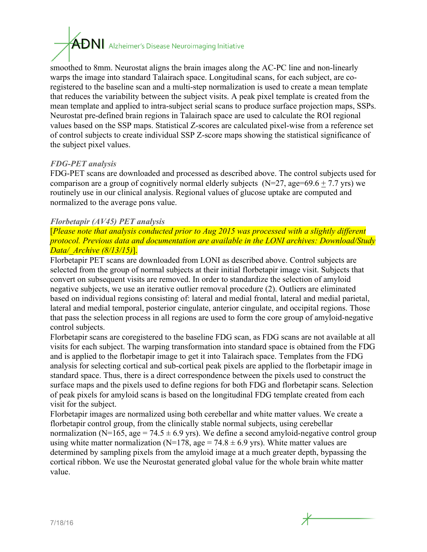# $\overline{ADN}$  Alzheimer's Disease Neuroimaging Initiative

smoothed to 8mm. Neurostat aligns the brain images along the AC-PC line and non-linearly warps the image into standard Talairach space. Longitudinal scans, for each subject, are coregistered to the baseline scan and a multi-step normalization is used to create a mean template that reduces the variability between the subject visits. A peak pixel template is created from the mean template and applied to intra-subject serial scans to produce surface projection maps, SSPs. Neurostat pre-defined brain regions in Talairach space are used to calculate the ROI regional values based on the SSP maps. Statistical Z-scores are calculated pixel-wise from a reference set of control subjects to create individual SSP Z-score maps showing the statistical significance of the subject pixel values.

#### *FDG-PET analysis*

FDG-PET scans are downloaded and processed as described above. The control subjects used for comparison are a group of cognitively normal elderly subjects ( $N=27$ , age=69.6 + 7.7 yrs) we routinely use in our clinical analysis. Regional values of glucose uptake are computed and normalized to the average pons value.

#### *Florbetapir (AV45) PET analysis*

[*Please note that analysis conducted prior to Aug 2015 was processed with a slightly different protocol. Previous data and documentation are available in the LONI archives: Download/Study Data/\_Archive (8/13/15)*].

Florbetapir PET scans are downloaded from LONI as described above. Control subjects are selected from the group of normal subjects at their initial florbetapir image visit. Subjects that convert on subsequent visits are removed. In order to standardize the selection of amyloid negative subjects, we use an iterative outlier removal procedure (2). Outliers are eliminated based on individual regions consisting of: lateral and medial frontal, lateral and medial parietal, lateral and medial temporal, posterior cingulate, anterior cingulate, and occipital regions. Those that pass the selection process in all regions are used to form the core group of amyloid-negative control subjects.

Florbetapir scans are coregistered to the baseline FDG scan, as FDG scans are not available at all visits for each subject. The warping transformation into standard space is obtained from the FDG and is applied to the florbetapir image to get it into Talairach space. Templates from the FDG analysis for selecting cortical and sub-cortical peak pixels are applied to the florbetapir image in standard space. Thus, there is a direct correspondence between the pixels used to construct the surface maps and the pixels used to define regions for both FDG and florbetapir scans. Selection of peak pixels for amyloid scans is based on the longitudinal FDG template created from each visit for the subject.

Florbetapir images are normalized using both cerebellar and white matter values. We create a florbetapir control group, from the clinically stable normal subjects, using cerebellar normalization (N=165, age = 74.5  $\pm$  6.9 yrs). We define a second amyloid-negative control group using white matter normalization (N=178, age = 74.8  $\pm$  6.9 yrs). White matter values are determined by sampling pixels from the amyloid image at a much greater depth, bypassing the cortical ribbon. We use the Neurostat generated global value for the whole brain white matter value.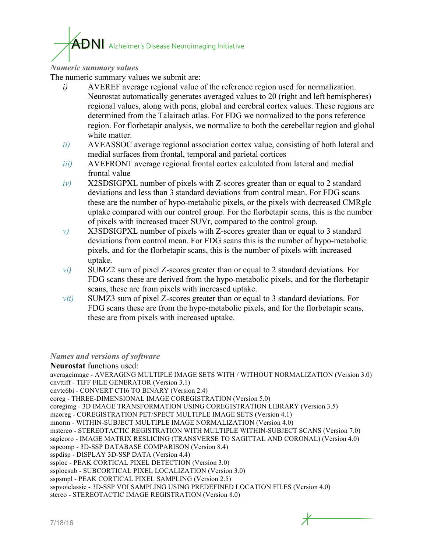# $\mathop{\mathrm{ADN}}\nolimits$  Alzheimer's Disease Neuroimaging Initiative

#### *Numeric summary values*

The numeric summary values we submit are:

- *i)* AVEREF average regional value of the reference region used for normalization. Neurostat automatically generates averaged values to 20 (right and left hemispheres) regional values, along with pons, global and cerebral cortex values. These regions are determined from the Talairach atlas. For FDG we normalized to the pons reference region. For florbetapir analysis, we normalize to both the cerebellar region and global white matter.
- *ii)* AVEASSOC average regional association cortex value, consisting of both lateral and medial surfaces from frontal, temporal and parietal cortices
- *iii*) AVEFRONT average regional frontal cortex calculated from lateral and medial frontal value
- *iv)* X2SDSIGPXL number of pixels with Z-scores greater than or equal to 2 standard deviations and less than 3 standard deviations from control mean. For FDG scans these are the number of hypo-metabolic pixels, or the pixels with decreased CMRglc uptake compared with our control group. For the florbetapir scans, this is the number of pixels with increased tracer SUVr, compared to the control group.
- *v)* X3SDSIGPXL number of pixels with Z-scores greater than or equal to 3 standard deviations from control mean. For FDG scans this is the number of hypo-metabolic pixels, and for the florbetapir scans, this is the number of pixels with increased uptake.
- *vi)* SUMZ2 sum of pixel Z-scores greater than or equal to 2 standard deviations. For FDG scans these are derived from the hypo-metabolic pixels, and for the florbetapir scans, these are from pixels with increased uptake.
- *vii)* SUMZ3 sum of pixel Z-scores greater than or equal to 3 standard deviations. For FDG scans these are from the hypo-metabolic pixels, and for the florbetapir scans, these are from pixels with increased uptake.

#### *Names and versions of software*

**Neurostat** functions used: averageimage - AVERAGING MULTIPLE IMAGE SETS WITH / WITHOUT NORMALIZATION (Version 3.0) cnvttiff - TIFF FILE GENERATOR (Version 3.1) cnvtc6bi - CONVERT CTI6 TO BINARY (Version 2.4) coreg - THREE-DIMENSIONAL IMAGE COREGISTRATION (Version 5.0) coregimg - 3D IMAGE TRANSFORMATION USING COREGISTRATION LIBRARY (Version 3.5) mcoreg - COREGISTRATION PET/SPECT MULTIPLE IMAGE SETS (Version 4.1) mnorm - WITHIN-SUBJECT MULTIPLE IMAGE NORMALIZATION (Version 4.0) mstereo - STEREOTACTIC REGISTRATION WITH MULTIPLE WITHIN-SUBJECT SCANS (Version 7.0) sagicoro - IMAGE MATRIX RESLICING (TRANSVERSE TO SAGITTAL AND CORONAL) (Version 4.0) sspcomp - 3D-SSP DATABASE COMPARISON (Version 8.4) sspdisp - DISPLAY 3D-SSP DATA (Version 4.4) ssploc - PEAK CORTICAL PIXEL DETECTION (Version 3.0) ssplocsub - SUBCORTICAL PIXEL LOCALIZATION (Version 3.0) sspsmpl - PEAK CORTICAL PIXEL SAMPLING (Version 2.5) sspvoiclassic - 3D-SSP VOI SAMPLING USING PREDEFINED LOCATION FILES (Version 4.0) stereo - STEREOTACTIC IMAGE REGISTRATION (Version 8.0)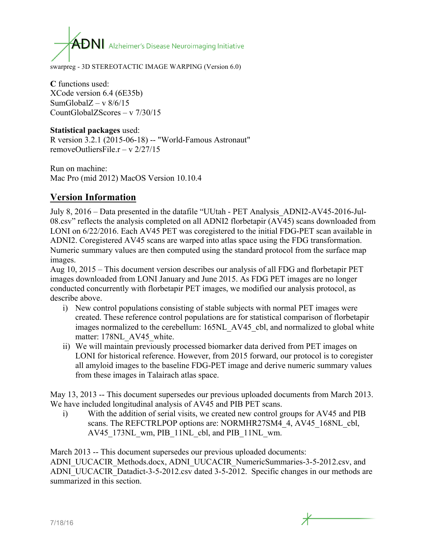$\mathsf{ADN}$  Alzheimer's Disease Neuroimaging Initiative

swarpreg - 3D STEREOTACTIC IMAGE WARPING (Version 6.0)

**C** functions used: XCode version 6.4 (6E35b) SumGlobal $Z - v$  8/6/15 CountGlobalZScores – v 7/30/15

#### **Statistical packages** used:

R version 3.2.1 (2015-06-18) -- "World-Famous Astronaut" removeOutliersFile  $r - v \frac{2}{27/15}$ 

Run on machine: Mac Pro (mid 2012) MacOS Version 10.10.4

# **Version Information**

July 8, 2016 – Data presented in the datafile "UUtah - PET Analysis\_ADNI2-AV45-2016-Jul-08.csv" reflects the analysis completed on all ADNI2 florbetapir (AV45) scans downloaded from LONI on 6/22/2016. Each AV45 PET was coregistered to the initial FDG-PET scan available in ADNI2. Coregistered AV45 scans are warped into atlas space using the FDG transformation. Numeric summary values are then computed using the standard protocol from the surface map images.

Aug 10, 2015 – This document version describes our analysis of all FDG and florbetapir PET images downloaded from LONI January and June 2015. As FDG PET images are no longer conducted concurrently with florbetapir PET images, we modified our analysis protocol, as describe above.

- i) New control populations consisting of stable subjects with normal PET images were created. These reference control populations are for statistical comparison of florbetapir images normalized to the cerebellum: 165NL\_AV45\_cbl, and normalized to global white matter: 178NL AV45 white.
- ii) We will maintain previously processed biomarker data derived from PET images on LONI for historical reference. However, from 2015 forward, our protocol is to coregister all amyloid images to the baseline FDG-PET image and derive numeric summary values from these images in Talairach atlas space.

May 13, 2013 -- This document supersedes our previous uploaded documents from March 2013. We have included longitudinal analysis of AV45 and PIB PET scans.

i) With the addition of serial visits, we created new control groups for AV45 and PIB scans. The REFCTRLPOP options are: NORMHR27SM4 4, AV45 168NL cbl, AV45\_173NL\_wm, PIB\_11NL\_cbl, and PIB\_11NL\_wm.

March 2013 -- This document supersedes our previous uploaded documents: ADNI\_UUCACIR\_Methods.docx, ADNI\_UUCACIR\_NumericSummaries-3-5-2012.csv, and ADNI\_UUCACIR\_Datadict-3-5-2012.csv dated 3-5-2012. Specific changes in our methods are summarized in this section.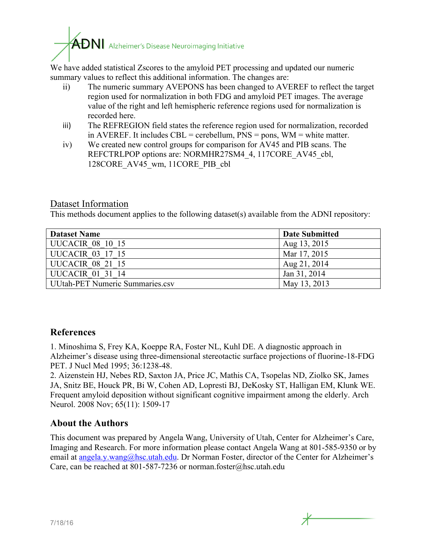$\mathbf{A}\mathbf{D}\mathbf{N}$  Alzheimer's Disease Neuroimaging Initiative

We have added statistical Zscores to the amyloid PET processing and updated our numeric summary values to reflect this additional information. The changes are:

- ii) The numeric summary AVEPONS has been changed to AVEREF to reflect the target region used for normalization in both FDG and amyloid PET images. The average value of the right and left hemispheric reference regions used for normalization is recorded here.
- iii) The REFREGION field states the reference region used for normalization, recorded in AVEREF. It includes CBL = cerebellum,  $PNS = pons$ ,  $WM = white$  matter.
- iv) We created new control groups for comparison for AV45 and PIB scans. The REFCTRLPOP options are: NORMHR27SM4\_4, 117CORE\_AV45\_cbl, 128CORE\_AV45\_wm, 11CORE\_PIB\_cbl

## Dataset Information

This methods document applies to the following dataset(s) available from the ADNI repository:

| <b>Dataset Name</b>             | <b>Date Submitted</b> |
|---------------------------------|-----------------------|
| UUCACIR 08 10 15                | Aug 13, 2015          |
| UUCACIR 03 17 15                | Mar 17, 2015          |
| UUCACIR 08 21 15                | Aug 21, 2014          |
| UUCACIR 01 31 14                | Jan 31, 2014          |
| UUtah-PET Numeric Summaries.csv | May 13, 2013          |

# **References**

1. Minoshima S, Frey KA, Koeppe RA, Foster NL, Kuhl DE. A diagnostic approach in Alzheimer's disease using three-dimensional stereotactic surface projections of fluorine-18-FDG PET. J Nucl Med 1995; 36:1238-48.

2. Aizenstein HJ, Nebes RD, Saxton JA, Price JC, Mathis CA, Tsopelas ND, Ziolko SK, James JA, Snitz BE, Houck PR, Bi W, Cohen AD, Lopresti BJ, DeKosky ST, Halligan EM, Klunk WE. Frequent amyloid deposition without significant cognitive impairment among the elderly. Arch Neurol. 2008 Nov; 65(11): 1509-17

# **About the Authors**

This document was prepared by Angela Wang, University of Utah, Center for Alzheimer's Care, Imaging and Research. For more information please contact Angela Wang at 801-585-9350 or by email at angela.y.wang@hsc.utah.edu. Dr Norman Foster, director of the Center for Alzheimer's Care, can be reached at 801-587-7236 or norman.foster@hsc.utah.edu